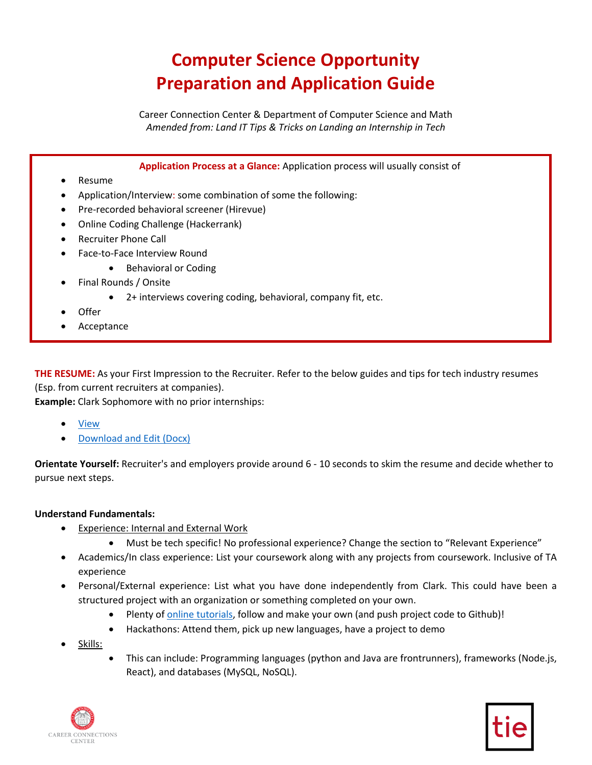# **Computer Science Opportunity Preparation and Application Guide**

 *Amended from: Land IT Tips & Tricks on Landing an Internship in Tech*  Career Connection Center & Department of Computer Science and Math

**Application Process at a Glance:** Application process will usually consist of

- Resume
- Application/Interview: some combination of some the following:
- Pre-recorded behavioral screener (Hirevue)
- Online Coding Challenge (Hackerrank)
- Recruiter Phone Call
	- Face-to-Face Interview Round
		- Behavioral or Coding
- Final Rounds / Onsite
	- 2+ interviews covering coding, behavioral, company fit, etc.
- Offer
- **Acceptance**

**THE RESUME:** As your First Impression to the Recruiter. Refer to the below guides and tips for tech industry resumes (Esp. from current recruiters at companies).

**Example:** Clark Sophomore with no prior internships:

- **View**
- [Download and Edit \(Docx\)](https://amzn.to/3ghs3It)

**Orientate Yourself:** Recruiter's and employers provide around 6 - 10 seconds to skim the resume and decide whether to pursue next steps.

#### **Understand Fundamentals:**

- Experience: Internal and External Work
	- Must be tech specific! No professional experience? Change the section to "Relevant Experience"
- • Academics/In class experience: List your coursework along with any projects from coursework. Inclusive of TA experience
- • Personal/External experience: List what you have done independently from Clark. This could have been a structured project with an organization or something completed on your own.
	- Plenty o[f online tutorials,](https://www.youtube.com/results?search_query=full+stack+projects) follow and make your own (and push project code to Github)!
	- Hackathons: Attend them, pick up new languages, have a project to demo
- Skills:
- • This can include: Programming languages (python and Java are frontrunners), frameworks (Node.js, React), and databases (MySQL, NoSQL).



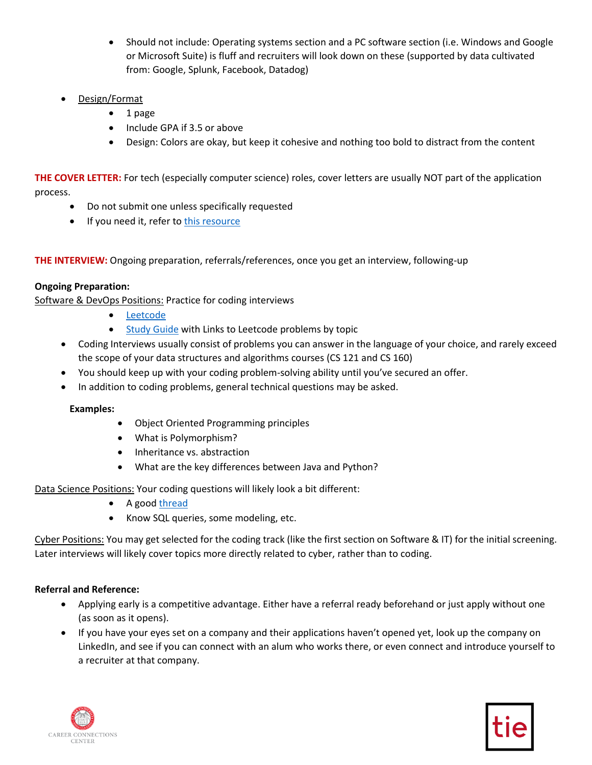- Should not include: Operating systems section and a PC software section (i.e. Windows and Google or Microsoft Suite) is fluff and recruiters will look down on these (supported by data cultivated from: Google, Splunk, Facebook, Datadog)
- Design/Format
	- 1 page
	- Include GPA if 3.5 or above
	- Design: Colors are okay, but keep it cohesive and nothing too bold to distract from the content

**THE COVER LETTER:** For tech (especially computer science) roles, cover letters are usually NOT part of the application process.

- Do not submit one unless specifically requested
- If you need it, refer to this resource

**THE INTERVIEW:** Ongoing preparation, referrals/references, once you get an interview, following-up

# **Ongoing Preparation:**

Software & DevOps Positions: Practice for coding interviews

- [Leetcode](http://leetcode.com/)
- [Study Guide](https://yangshun.github.io/tech-interview-handbook/algorithms/algorithms-introduction) with Links to Leetcode problems by topic
- • Coding Interviews usually consist of problems you can answer in the language of your choice, and rarely exceed the scope of your data structures and algorithms courses (CS 121 and CS 160)
- You should keep up with your coding problem-solving ability until you've secured an offer.
- In addition to coding problems, general technical questions may be asked.

# **Examples:**

- Object Oriented Programming principles
- What is Polymorphism?
- Inheritance vs. abstraction
- What are the key differences between Java and Python?

Data Science Positions: Your coding questions will likely look a bit different:

- A goo[d thread](https://www.kaggle.com/questions-and-answers/89641)
- Know SQL queries, some modeling, etc.

 Cyber Positions: You may get selected for the coding track (like the first section on Software & IT) for the initial screening. Later interviews will likely cover topics more directly related to cyber, rather than to coding.

# **Referral and Reference:**

- Applying early is a competitive advantage. Either have a referral ready beforehand or just apply without one (as soon as it opens).
- If you have your eyes set on a company and their applications haven't opened yet, look up the company on LinkedIn, and see if you can connect with an alum who works there, or even connect and introduce yourself to a recruiter at that company.